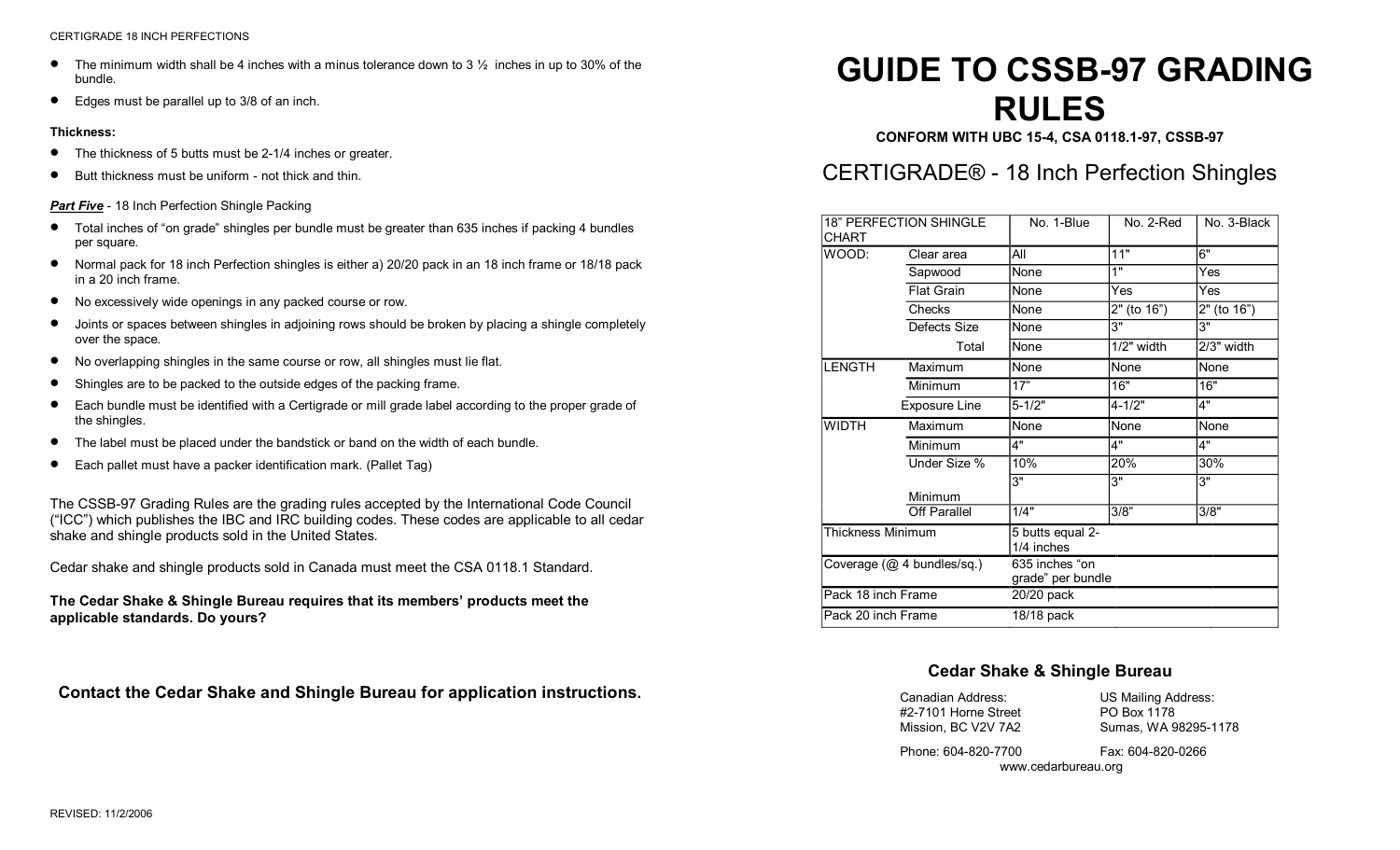- The minimum width shall be 4 inches with a minus tolerance down to 3  $\frac{1}{2}$  inches in up to 30% of the bundle.
- · Edges must be parallel up to 3/8 of an inch.

#### **Thickness:**

- The thickness of 5 butts must be 2-1/4 inches or greater.
- Butt thickness must be uniform not thick and thin.

#### **Part Five** - 18 Inch Perfection Shingle Packing

- · Total inches of "on grade" shingles per bundle must be greater than <sup>635</sup> inches if packing 4 bundles per square.
- · Normal pack for 18 inch Perfection shingles is either a) 20/20 pack in an 18 inch frame or 18/18 pack in a 20 inch frame.
- · No excessively wide openings in any packed course or row.
- · Joints or spaces between shingles in adjoining rows should be broken by placing a shingle completely over the space.
- · No overlapping shingles in the same course or row, all shingles must lie flat.
- Shingles are to be packed to the outside edges of the packing frame.
- · Each bundle must be identified with a Certigrade or mill grade label according to the proper grade of the shingles.
- · The label must be placed under the bandstick or band on the width of each bundle.
- Each pallet must have a packer identification mark. (Pallet Tag)

The CSSB-97 Grading Rules are the grading rules accepted by the International Code Council ("ICC") which publishes the IBC and IRC building codes. These codes are applicable to all cedar shake and shingle products sold in the United States.

Cedar shake and shingle products sold in Canada must meet the CSA 0118.1 Standard.

**The Cedar Shake & Shingle Bureau requires that its members' products meet the applicable standards. Do yours?**

**Contact the Cedar Shake and Shingle Bureau for application instructions.** 

# **GUIDE TO CSSB-97 GRADING RULES**

**CONFORM WITH UBC 154, CSA 0118.197, CSSB97**

# CERTIGRADE® 18 Inch Perfection Shingles

| <b>18" PERFECTION SHINGLE</b><br><b>CHART</b> |                   | No. 1-Blue                          | No. 2-Red    | No. 3-Black |
|-----------------------------------------------|-------------------|-------------------------------------|--------------|-------------|
| WOOD:                                         | Clear area        | All                                 | 11"          | 6"          |
|                                               | Sapwood           | None                                | 1"           | Yes         |
|                                               | <b>Flat Grain</b> | None                                | Yes          | Yes         |
|                                               | Checks            | None                                | 2" (to 16")  | 2" (to 16") |
|                                               | Defects Size      | None                                | 3"           | 3"          |
|                                               | Total             | None                                | $1/2"$ width | 2/3" width  |
| <b>LENGTH</b>                                 | Maximum           | None                                | None         | None        |
|                                               | Minimum           | 17"                                 | 16"          | 16"         |
|                                               | Exposure Line     | $5 - 1/2"$                          | $4 - 1/2"$   | 4"          |
| <b>WIDTH</b>                                  | Maximum           | None                                | None         | None        |
|                                               | Minimum           | 4"                                  | 4"           | 4"          |
|                                               | Under Size %      | 10%                                 | 20%          | 30%         |
|                                               | Minimum           | 3"                                  | 3"           | 3"          |
|                                               | Off Parallel      | 1/4"                                | 3/8"         | 3/8"        |
| Thickness Minimum                             |                   | 5 butts equal 2-<br>1/4 inches      |              |             |
| Coverage (@ 4 bundles/sq.)                    |                   | 635 inches "on<br>grade" per bundle |              |             |
| Pack 18 inch Frame                            |                   | 20/20 pack                          |              |             |
| Pack 20 inch Frame                            |                   | 18/18 pack                          |              |             |

## **Cedar Shake & Shingle Bureau**

| Canadian Address:    | US Mailing Address:  |
|----------------------|----------------------|
| #2-7101 Horne Street | PO Box 1178          |
| Mission, BC V2V 7A2  | Sumas, WA 98295-1178 |

Phone: 604-820-7700 Fax: 604-820-0266 www.cedarbureau.org